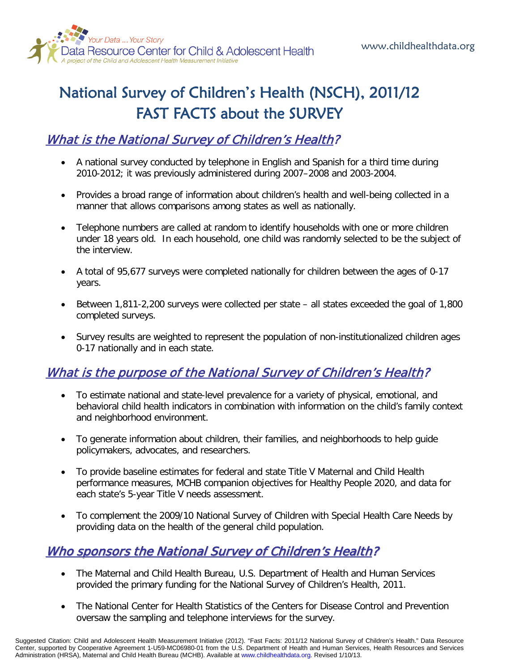

# National Survey of Children's Health (NSCH), 2011/12 FAST FACTS about the SURVEY

### What is the National Survey of Children's Health?

- A national survey conducted by telephone in English and Spanish for a third time during 2010-2012; it was previously administered during 2007–2008 and 2003-2004.
- Provides a broad range of information about children's health and well-being collected in a manner that allows comparisons among states as well as nationally.
- Telephone numbers are called at random to identify households with one or more children under 18 years old. In each household, one child was randomly selected to be the subject of the interview.
- A total of 95,677 surveys were completed nationally for children between the ages of 0-17 years.
- Between 1,811-2,200 surveys were collected per state all states exceeded the goal of 1,800 completed surveys.
- Survey results are weighted to represent the population of non-institutionalized children ages 0-17 nationally and in each state.

### What is the purpose of the National Survey of Children's Health?

- To estimate national and state-level prevalence for a variety of physical, emotional, and behavioral child health indicators in combination with information on the child's family context and neighborhood environment.
- To generate information about children, their families, and neighborhoods to help guide policymakers, advocates, and researchers.
- To provide baseline estimates for federal and state Title V Maternal and Child Health performance measures, MCHB companion objectives for Healthy People 2020, and data for each state's 5-year Title V needs assessment.
- To complement the 2009/10 National Survey of Children with Special Health Care Needs by providing data on the health of the general child population.

#### Who sponsors the National Survey of Children's Health?

- The Maternal and Child Health Bureau, U.S. Department of Health and Human Services provided the primary funding for the National Survey of Children's Health, 2011.
- The National Center for Health Statistics of the Centers for Disease Control and Prevention oversaw the sampling and telephone interviews for the survey.